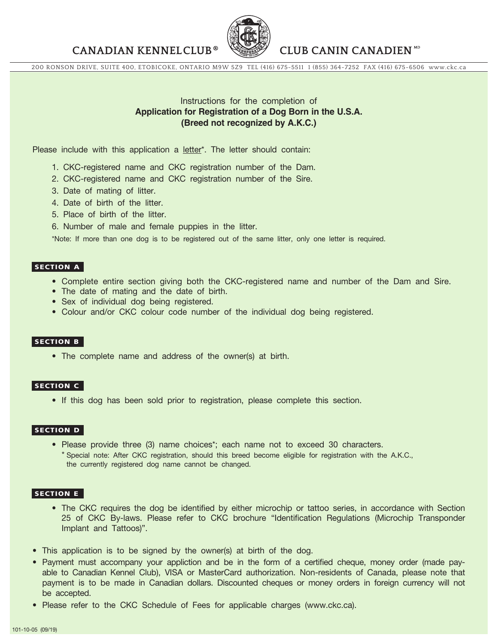**CANADIAN KENNELCLUB CLUB CANIN CANADIEN** 



200 RONSON DRIVE, SUITE 400, ETOBICOKE, ONTARIO M9W 5Z9 TEL (416) 675-5511 1 (855) 364-7252 FAX (416) 675-6506 www.ckc.ca

## Instructions for the completion of **Application for Registration of a Dog Born in the U.S.A. (Breed not recognized by A.K.C.)**

Please include with this application a letter\*. The letter should contain:

- 1. CKC-registered name and CKC registration number of the Dam.
- 2. CKC-registered name and CKC registration number of the Sire.
- 3. Date of mating of litter.
- 4. Date of birth of the litter.
- 5. Place of birth of the litter.
- 6. Number of male and female puppies in the litter.

\*Note: If more than one dog is to be registered out of the same litter, only one letter is required.

#### SECTION A

- Complete entire section giving both the CKC-registered name and number of the Dam and Sire.
- The date of mating and the date of birth.
- Sex of individual dog being registered.
- Colour and/or CKC colour code number of the individual dog being registered.

#### SECTION B

• The complete name and address of the owner(s) at birth.

### SECTION C

• If this dog has been sold prior to registration, please complete this section.

#### SECTION D

• Please provide three (3) name choices\*; each name not to exceed 30 characters. \* Special note: After CKC registration, should this breed become eligible for registration with the A.K.C., the currently registered dog name cannot be changed.

#### SECTION E

- The CKC requires the dog be identified by either microchip or tattoo series, in accordance with Section 25 of CKC By-laws. Please refer to CKC brochure "Identification Regulations (Microchip Transponder Implant and Tattoos)".
- This application is to be signed by the owner(s) at birth of the dog.
- Payment must accompany your appliction and be in the form of a certified cheque, money order (made payable to Canadian Kennel Club), VISA or MasterCard authorization. Non-residents of Canada, please note that payment is to be made in Canadian dollars. Discounted cheques or money orders in foreign currency will not be accepted.
- Please refer to the CKC Schedule of Fees for applicable charges (www.ckc.ca).